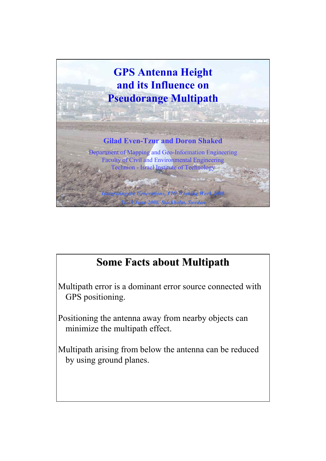

## **Some Facts about Multipath Some Facts about Multipath**

Multipath error is a dominant error source connected with GPS positioning.

Positioning the antenna away from nearby objects can minimize the multipath effect.

Multipath arising from below the antenna can be reduced by using ground planes.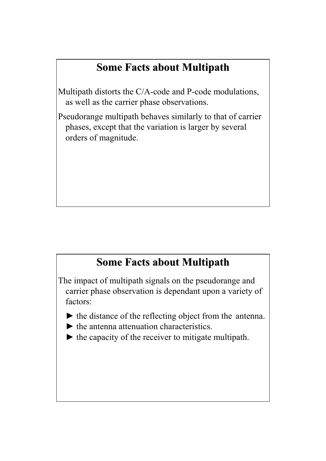## **Some Facts about Multipath Some Facts about Multipath**

Multipath distorts the C/A-code and P-code modulations, as well as the carrier phase observations.

Pseudorange multipath behaves similarly to that of carrier phases, except that the variation is larger by several orders of magnitude.

## **Some Facts about Multipath Some Facts about Multipath**

The impact of multipath signals on the pseudorange and carrier phase observation is dependant upon a variety of factors:

- $\blacktriangleright$  the distance of the reflecting object from the antenna.
- $\blacktriangleright$  the antenna attenuation characteristics.
- $\blacktriangleright$  the capacity of the receiver to mitigate multipath.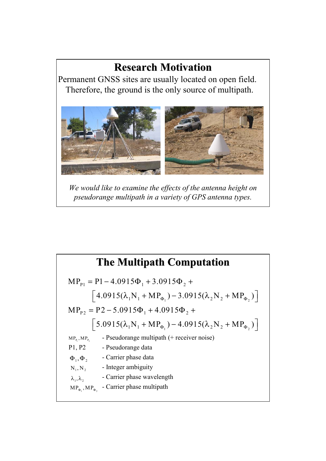## **Research Motivation Research Motivation**

Permanent GNSS sites are usually located on open field. Therefore, the ground is the only source of multipath.



*We would like to examine the effects of the antenna height on pseudorange multipath in a variety of GPS antenna types.*

|                               | <b>The Multipath Computation</b>                                                         |
|-------------------------------|------------------------------------------------------------------------------------------|
|                               | $MP_{p_1} = P1 - 4.0915\Phi_1 + 3.0915\Phi_2 +$                                          |
|                               | $\left[4.0915(\lambda_1 N_1 + MP_{\Phi_1}) - 3.0915(\lambda_2 N_2 + MP_{\Phi_2})\right]$ |
|                               | $MP_{p_2} = P2 - 5.0915\Phi_1 + 4.0915\Phi_2 +$                                          |
|                               | $\left[5.0915(\lambda_1 N_1 + MP_{\Phi_1}) - 4.0915(\lambda_2 N_2 + MP_{\Phi_2})\right]$ |
| $MP_{P_1}$ , $MP_{P_2}$       | - Pseudorange multipath (+ receiver noise)                                               |
| P1, P2                        | - Pseudorange data                                                                       |
| $\Phi_1, \Phi_2$              | - Carrier phase data                                                                     |
| $N_1, N_2$                    | - Integer ambiguity                                                                      |
| $\lambda_1, \lambda_2$        | - Carrier phase wavelength                                                               |
| $MP_{\Phi_1}$ , $MP_{\Phi_2}$ | - Carrier phase multipath                                                                |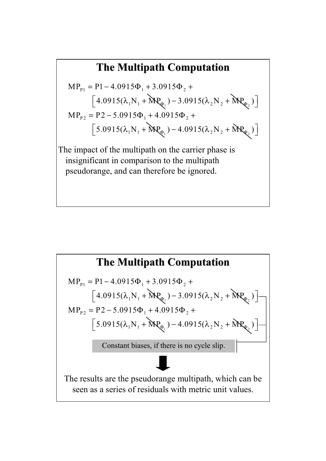# **The Multipath Computation The Multipath Computation**  $\left[4.0915(\lambda_1 N_1 + \text{MP}_{\phi_1}) - 3.0915(\lambda_2 N_2 + \text{MP}_{\phi_2})\right]$  $MP_{p_1} = P1 - 4.0915\Phi_1 + 3.0915\Phi_2 +$

$$
MP_{p_2} = P2 - 5.0915\Phi_1 + 4.0915\Phi_2 +
$$
  
\n
$$
\left[5.0915(\lambda_1 N_1 + MP_{\phi_1}) - 4.0915(\lambda_2 N_2 + MP_{\phi_2})\right]
$$

The impact of the multipath on the carrier phase is insignificant in comparison to the multipath pseudorange, and can therefore be ignored.

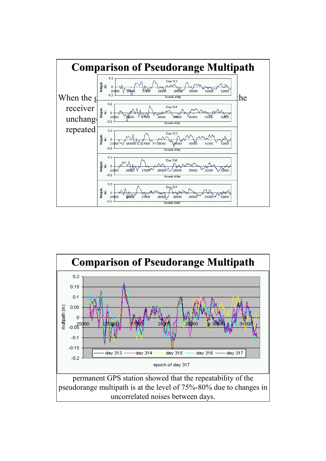

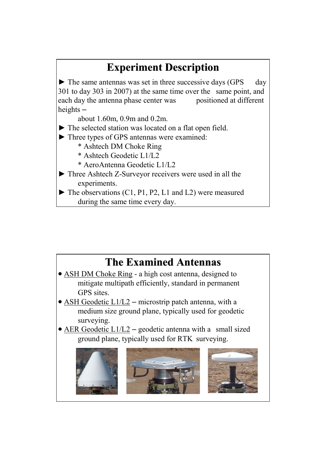## **Experiment Description Experiment Description**

 $\blacktriangleright$  The same antennas was set in three successive days (GPS day 301 to day 303 in 2007) at the same time over the same point, and each day the antenna phase center was positioned at different heights –

about 1.60m, 0.9m and 0.2m.

- ► The selected station was located on a flat open field.
- ► Three types of GPS antennas were examined:
	- \* Ashtech DM Choke Ring
	- \* Ashtech Geodetic L1/L2
	- \* AeroAntenna Geodetic L1/L2
- ► Three Ashtech Z-Surveyor receivers were used in all the experiments.
- $\blacktriangleright$  The observations (C1, P1, P2, L1 and L2) were measured during the same time every day.

## **The Examined Antennas The Examined Antennas**

- ASH DM Choke Ring a high cost antenna, designed to mitigate multipath efficiently, standard in permanent GPS sites.
- ASH Geodetic  $L1/L2$  microstrip patch antenna, with a medium size ground plane, typically used for geodetic surveying.
- AER Geodetic  $L1/L2$  geodetic antenna with a small sized ground plane, typically used for RTK surveying.

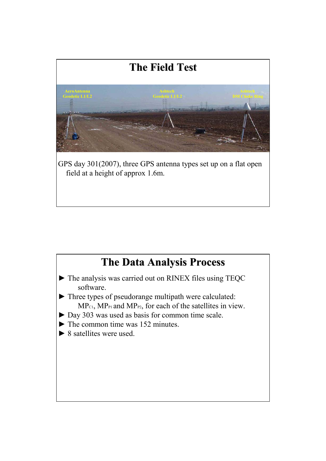

## **The Data Analysis Process**

- ► The analysis was carried out on RINEX files using TEQC software.
- ► Three types of pseudorange multipath were calculated:  $MP_{c1}$ ,  $MP_{P1}$  and  $MP_{P2}$ , for each of the satellites in view.
- ► Day 303 was used as basis for common time scale.
- $\blacktriangleright$  The common time was 152 minutes.
- $\blacktriangleright$  8 satellites were used.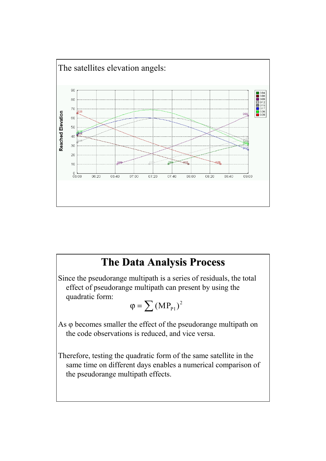

#### **The Data Analysis Process**

Since the pseudorange multipath is a series of residuals, the total effect of pseudorange multipath can present by using the quadratic form:

$$
\phi=\sum\left(MP_{\text{p}_1}\right)^2
$$

As φ becomes smaller the effect of the pseudorange multipath on the code observations is reduced, and vice versa.

Therefore, testing the quadratic form of the same satellite in the same time on different days enables a numerical comparison of the pseudorange multipath effects.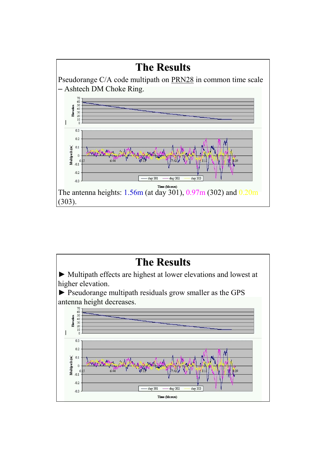

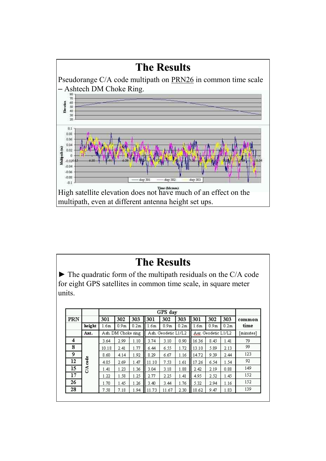

► The quadratic form of the multipath residuals on the C/A code for eight GPS satellites in common time scale, in square meter units.

|     |        |       | GPS day            |                  |       |                     |                  |       |                     |                  |           |  |  |  |
|-----|--------|-------|--------------------|------------------|-------|---------------------|------------------|-------|---------------------|------------------|-----------|--|--|--|
| PRN |        | 301   | 302                | 303              | 301   | 302                 | 303              | 301   | 302                 | 303              | common    |  |  |  |
|     | height | 1.6m  | 0.9 <sub>m</sub>   | 0.2 <sub>m</sub> | 1.6m  | 0.9 <sub>m</sub>    | 0.2 <sub>m</sub> | 1.6m  | 0.9 <sub>m</sub>    | 0.2 <sub>m</sub> | time      |  |  |  |
|     | Ant.   |       | Ash. DM Choke ring |                  |       | Ash. Geodetic L1/L2 |                  |       | Aer. Geodetic L1/L2 |                  | [minutes] |  |  |  |
| 4   |        | 3.64  | 2.99               | 1.10             | 3.74  | 3.10                | 0.90.            | 16.36 | 8.45                | 1.41             | 79        |  |  |  |
| 8   |        | 10.18 | 2.41               | 1.77             | 6.44  | 6.55                | 1.72             | 13.10 | 5.89                | 2.13             | 99        |  |  |  |
| 9   |        | 8.60  | 4.14               | 1.92             | 8.29  | 6.67                | 1.16             | 14.72 | 9.39                | 2.44             | 123       |  |  |  |
| 12  | code   | 4.05  | 2.69               | 1.47             | 11.10 | 7.53                | 1.61             | 17.26 | 6.54                | 1.54             | 92        |  |  |  |
| 15  | CA     | 1.41  | 1.23               | 1.36             | 3.04  | 3.18                | 1.88             | 2.42  | 2.19                | 0.88             | 149       |  |  |  |
| 17  |        | 1.22  | 1.58               | 1.25             | 2.77  | 2.25                | 1.41             | 4.95  | 2.52                | 1.45             | 152       |  |  |  |
| 26  |        | 1.70  | 1.45               | 1.26             | 3.40  | 3.44                | 1.76             | 5.32  | 2.94                | 1.16             | 152       |  |  |  |
| 28  |        | 7.58  | 7.18               | 1.94             | 11.73 | 11.67               | 2.30             | 18.62 | 9.47                | 1.83             | 139       |  |  |  |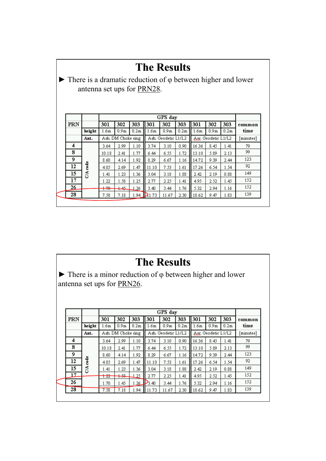| <b>The Results</b><br>There is a dramatic reduction of $\varphi$ between higher and lower<br>antenna set ups for PRN28. |            |                  |                    |      |                  |                     |                  |                  |                     |                  |           |  |  |  |
|-------------------------------------------------------------------------------------------------------------------------|------------|------------------|--------------------|------|------------------|---------------------|------------------|------------------|---------------------|------------------|-----------|--|--|--|
| GPS day                                                                                                                 |            |                  |                    |      |                  |                     |                  |                  |                     |                  |           |  |  |  |
| PRN                                                                                                                     |            | 301              | 302                | 303  | 301              | 302                 | 303              | 301              | 302                 | 303              | common    |  |  |  |
|                                                                                                                         | height     | 1.6 <sub>m</sub> | 0.9 <sub>m</sub>   | 0.2m | 1.6 <sub>m</sub> | 0.9 <sub>m</sub>    | 0.2 <sub>m</sub> | 1.6 <sub>m</sub> | 0.9 <sub>m</sub>    | 0.2 <sub>m</sub> | time      |  |  |  |
|                                                                                                                         | Ant.       |                  | Ash. DM Choke ring |      |                  | Ash. Geodetic L1/L2 |                  |                  | Aer. Geodetic L1/L2 |                  | [minutes] |  |  |  |
| 4                                                                                                                       |            | 3.64             | 2.99               | 1.10 | 3.74             | 3.10                | 0.90.            | 16.36            | 8.45                | 1.41             | 79        |  |  |  |
| 8                                                                                                                       |            | 10.18            | 2.41               | 1.77 | 6.44             | 6.55                | 1.72             | 13.10            | 5.89                | 2.13             | 99        |  |  |  |
| 9                                                                                                                       |            | 8.60             | 4.14               | 1.92 | 8.29             | 6.67                | 1.16             | 14.72            | 9.39                | 2.44             | 123       |  |  |  |
| 12                                                                                                                      | $2/A$ code | 4.05             | 2.69               | 1.47 | 11.10            | 7.53                | 1.61             | 17.26            | 6.54                | 1.54             | 92        |  |  |  |
| 15                                                                                                                      |            | 1.41             | 1.23               | 1.36 | 3.04             | 3.18                | 1.88             | 2.42             | 2.19                | 0.88             | 149       |  |  |  |
| 17                                                                                                                      |            | 1.22             | 1.58               | 1.25 | 2.77             | 2.25                | 1.41             | 4.95             | 2.52                | 1.45             | 152       |  |  |  |
| 26                                                                                                                      |            | $+70$            | جهبه               | 1.26 | 3.40             | 3.44                | 1.76             | 5.32             | 2.94                | 1.16             | 152       |  |  |  |
| 28                                                                                                                      |            | 7.58             | 7.18               |      | 1.94 $D$ 1.73    | 11.67               | 2.30             | 18.62            | 9.47                | 1.83             | 139       |  |  |  |
|                                                                                                                         |            |                  |                    |      |                  |                     |                  |                  |                     |                  |           |  |  |  |

 $\blacktriangleright$  There is a minor reduction of  $\varphi$  between higher and lower antenna set ups for PRN26.

|     |        |              |                    |                  |       | GPS day             |                  |                        |                  |                  |           |
|-----|--------|--------------|--------------------|------------------|-------|---------------------|------------------|------------------------|------------------|------------------|-----------|
| PRN |        | 301          | 302                | 303              | 301   | 302                 | 303              | 301                    | 302              | 303              | common    |
|     | height | 1.6m         | 0.9 <sub>m</sub>   | 0.2 <sub>m</sub> | 1.6m  | 0.9 <sub>m</sub>    | 0.2 <sub>m</sub> | 1.6m                   | 0.9 <sub>m</sub> | 0.2 <sub>m</sub> | time      |
|     | Ant.   |              | Ash. DM Choke ring |                  |       | Ash. Geodetic L1/L2 |                  | Geodetic L1/L2<br>Aer. |                  |                  | [minutes] |
| 4   |        | 3.64         | 2.99               | 1.10             | 3.74  | 3.10                | 0.90.            | 16.36                  | 8.45             | 1.41             | 79        |
| 8   |        | 10.18        | 2.41               | 1.77             | 6.44  | 6.55                | 1.72             | 13.10                  | 5.89             | 2.13             | 99        |
| 9   |        | 8.60         | 4.14               | 1.92             | 8.29  | 6.67                | 1.16             | 14.72                  | 9.39             | 2.44             | 123       |
| 12  | code   | 4.05         | 2.69               | 1.47             | 11.10 | 7.53                | 1.61             | 17.26                  | 6.54             | 1.54             | 92        |
| 15  | Ś      | 1.41         | 1.23               | 1.36             | 3.04  | 3.18                | 1.88             | 2.42                   | 2.19             | 0.88             | 149       |
| 17. |        | ممنه<br>1.22 | $+$ $-$            | 1.25             | 2.77  | 2.25                | 1.41             | 4.95                   | 2.52             | 1.45             | 152       |
| 26  |        | 1.70         | 1.45               | 1.26             | 3.40  | 3.44                | 1.76             | 5.32                   | 2.94             | 1.16             | 152       |
| 28  |        | 7.58         | 7.18               | 1.94             | 11.73 | 11.67               | 2.30             | 18.62                  | 9.47             | 1.83             | 139       |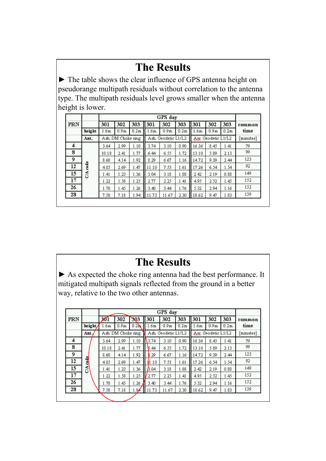► The table shows the clear influence of GPS antenna height on pseudorange multipath residuals without correlation to the antenna type. The multipath residuals level grows smaller when the antenna height is lower.

|     |        |                  | GPS day            |                  |       |                     |                  |       |                     |                  |           |  |  |  |
|-----|--------|------------------|--------------------|------------------|-------|---------------------|------------------|-------|---------------------|------------------|-----------|--|--|--|
| PRN |        | 301              | 302                | 303              | 301   | 302                 | 303<br>Ш         | 301   | 302                 | 303              | common    |  |  |  |
|     | height | 1.6 <sub>m</sub> | 0.9 <sub>m</sub>   | 0.2 <sub>m</sub> | 1.6m  | 0.9 <sub>m</sub>    | 0.2 <sub>m</sub> | 1.6m  | 0.9 <sub>m</sub>    | 0.2 <sub>m</sub> | time      |  |  |  |
|     | Ant.   |                  | Ash. DM Choke ring |                  |       | Ash. Geodetic L1/L2 |                  |       | Aer. Geodetic L1/L2 |                  | [minutes] |  |  |  |
| 4   |        | 3.64             | 2.99               | 1.10             | 3.74  | 3.10                | 0.90.            | 16.36 | 8.45                | 1.41             | 79        |  |  |  |
| 8   |        | 10.18            | 2.41               | 1.77             | 6.44  | 6.55                | 1.72             | 13.10 | 5.89                | 2.13             | 99        |  |  |  |
| 9   |        | 8.60             | 4.14               | 1.92             | 8.29  | 6.67                | 1.16             | 14.72 | 9.39                | 2.44             | 123       |  |  |  |
| 12  | code   | 4.05             | 2.69               | 1.47             | 11.10 | 7.53                | 1.61             | 17.26 | 6.54                | 1.54             | 92        |  |  |  |
| 15  | CA     | 1.41             | 1.23               | 1.36             | 3.04  | 3.18                | 1.88             | 2.42  | 2.19                | 0.88             | 149       |  |  |  |
| 17  |        | 1.22             | 1.58               | 1.25             | 2.77  | 2.25                | 1.41             | 4.95  | 2.52                | 1.45             | 152       |  |  |  |
| 26  |        | 1.70             | 1.45               | 1.26             | 3.40  | 3.44                | 1.76             | 5.32  | 2.94                | 1.16             | 152       |  |  |  |
| 28  |        | 7.58             | 7.18               | 1.94             | 11.73 | 11.67               | 2.30             | 18.62 | 9.47                | 1.83             | 139       |  |  |  |

## **The Results The Results**

► As expected the choke ring antenna had the best performance. It mitigated multipath signals reflected from the ground in a better way, relative to the two other antennas.

|     |         |            |                    |                  |          | GPS day             |                  |       |                     |                  |           |
|-----|---------|------------|--------------------|------------------|----------|---------------------|------------------|-------|---------------------|------------------|-----------|
| PRN |         | $\sqrt{1}$ | 302                | $\mathcal{N}^3$  | 301      | 302                 | 303              | 301   | 302                 | 303              | common    |
|     | height, | 1.6m       | 0.9 <sub>m</sub>   | 0.2 <sub>h</sub> | 1.6m     | 0.9 <sub>m</sub>    | 0.2 <sub>m</sub> | 1.6m  | 0.9 <sub>m</sub>    | 0.2 <sub>m</sub> | time      |
|     | Ant.    |            | Ash. DM Choke ring |                  |          | Ash. Geodetic L1/L2 |                  |       | Aer. Geodetic L1/L2 |                  | [minutes] |
| 4   |         | 3.64       | 2.99               | 1.10             | 3.74     | 3.10                | 0.90             | 16.36 | 8.45                | 1.41             | 79        |
| 8   |         | 10.18      | 2.41               | 1.77             | 6.44     | 6.55                | 1.72             | 13.10 | 5.89                | 2.13             | 99        |
| 9   |         | 8.60       | 4.14               | 1.92             | .29<br>8 | 6.67                | 1.16             | 14.72 | 9.39                | 2.44             | 123       |
| 12  | 뤵       | 4.05       | 2.69               | 1.47             | 11.10    | 7.53                | 1.61             | 17.26 | 6.54                | 1.54             | 92        |
| 15  | క్షి    | 1.41       | 1.23               | 1.36             | B.04     | 3.18                | 1.88             | 2.42  | 2.19                | 0.88             | 149       |
| 17  |         | 1.22       | 1.58               | 1.25             | 2.77     | 2.25                | 1.41             | 4.95  | 2.52                | 1.45             | 152       |
| 26  |         | 1.70       | 1.45               | 1.26             | 3.40     | 3.44                | 1.76             | 5.32  | 2.94                | 1.16             | 152       |
| 28  |         | 7.58       | 7.18               | 1.9 <sub>A</sub> | 11.73    | 11.67               | 2.30             | 18.62 | 9.47                | 1.83             | 139       |
|     |         |            |                    |                  |          |                     |                  |       |                     |                  |           |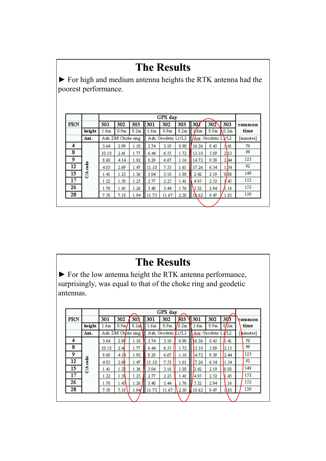|     |                      |                  |                    |                  | <b>The Results</b> |                     |                  |           |                    |        | • For high and medium antenna heights the RTK antenna had the |  |  |  |
|-----|----------------------|------------------|--------------------|------------------|--------------------|---------------------|------------------|-----------|--------------------|--------|---------------------------------------------------------------|--|--|--|
|     |                      |                  |                    |                  |                    |                     |                  |           |                    |        |                                                               |  |  |  |
|     | poorest performance. |                  |                    |                  |                    |                     |                  |           |                    |        |                                                               |  |  |  |
|     |                      |                  |                    |                  |                    |                     |                  |           |                    |        |                                                               |  |  |  |
|     |                      |                  |                    |                  |                    |                     |                  |           |                    |        |                                                               |  |  |  |
|     | GPS day              |                  |                    |                  |                    |                     |                  |           |                    |        |                                                               |  |  |  |
| PRN |                      | 301              | 302                | 303              | 301                | 302                 | 303              | $130\chi$ | 302                | 303    | common                                                        |  |  |  |
|     | height               | 1.6 <sub>m</sub> | 0.9 <sub>m</sub>   | 0.2 <sub>m</sub> | 1.6m               | 0.9 <sub>m</sub>    | 0.2 <sub>m</sub> | 1/6m      | 0.9 <sub>m</sub>   | 0.2m   | time                                                          |  |  |  |
|     | Ant.                 |                  | Ash. DM Choke ring |                  |                    | Ash. Geodetic L1/L2 |                  |           | Aer. Geodetic LVL2 |        |                                                               |  |  |  |
| 4   |                      | 3.64             | 2.99               | 1.10             | 3.74               | 3.10                | 0.90.            | 16.36     | 8.45               | 11, 41 | 79                                                            |  |  |  |
| 8   |                      | 10.18            | 2.41               | 1.77             | 6.44               | 6.55                | 1.72             | 13.10     | 5.89               | 2113   | 99                                                            |  |  |  |
| 9   |                      | 8.60             | 4.14               | 1.92             | 8.29               | 6.67                | 1.16             | 14.72     | 9.39               | 2.144  | 123                                                           |  |  |  |
| 12  | C/A code             | 4.05             | 2.69               | 1.47             | 11.10              | 7.53                | 1.61             | 17.26     | 6.54               | 1.54   | 92                                                            |  |  |  |
| 15  |                      | 1.41             | 1.23               | 1.36             | 3.04               | 3.18                | 1.88             | 2.42      | 2.19               | 0/88   | 149                                                           |  |  |  |
| 17  |                      | 1.22             | 1.58               | 1.25             | 2.77               | 2.25                | 1.41             | 4.95      | 2.52               | 11.45  | 152                                                           |  |  |  |
|     |                      | 1.70             | 1.45               | 1.26             | 3.40               | 3.44                | 1.76             | 5.32      | 2.94               | l.16   | 152                                                           |  |  |  |
| 26  |                      | 7.58             | 7.18               | 1.94             | 11.73              | 11.67               | 2.30             | 18.62     | 9.47               | 1.83   | 139                                                           |  |  |  |

► For the low antenna height the RTK antenna performance, surprisingly, was equal to that of the choke ring and geodetic antennas.

|     |        |       | GPS day                        |                  |       |                     |                  |       |                     |                 |        |  |  |  |  |  |  |  |  |
|-----|--------|-------|--------------------------------|------------------|-------|---------------------|------------------|-------|---------------------|-----------------|--------|--|--|--|--|--|--|--|--|
| PRN |        | 301   | 302                            | 30 <sup>3</sup>  | 301   | 302                 | 103              | 301   | 302                 | 30 <sub>3</sub> | common |  |  |  |  |  |  |  |  |
|     | height | 1.6m  | 0.9 <sub>m</sub>               | 0.2 <sub>m</sub> | 1.6m  | 0.9 <sub>m</sub>    | 0.2 <sub>m</sub> | 1.6m  | 0.9 <sub>m</sub>    | 0/2m            | time   |  |  |  |  |  |  |  |  |
|     | Ant.   |       | Ash. DM Ch <sub>bke ring</sub> |                  |       | Ash. Geodetic L1/L2 |                  |       | Aer. Geodetic L1/L2 | [thinutes]      |        |  |  |  |  |  |  |  |  |
| 4   |        | 3.64  | 2.99                           | 1.10             | 3.74  | 3.10                | 0.90             | 16.36 | 8.45                | 1.41            | 79     |  |  |  |  |  |  |  |  |
| 8   |        | 10.18 | 2.41                           | 1.77             | 6.44  | 6.55                | 1.72             | 13.10 | 5.89                | 2.13            | 99     |  |  |  |  |  |  |  |  |
| 9   |        | 8.60  | 4.14                           | 1.92             | 8.29  | 6.67                | 1.16             | 4.72  | 9.39                | 2.44            | 123    |  |  |  |  |  |  |  |  |
| 12  | code   | 4.05  | 2.6P                           | 1.47             | 11.10 | 7.53                | 1.61             | 7.26  | 6.54                | 1.54            | 92     |  |  |  |  |  |  |  |  |
| 15  | CA     | 1.41  | 1.2                            | 1.36             | 3.04  | 3.18                | 1.88             | 2.42  | 2.19                | 0.88            | 149    |  |  |  |  |  |  |  |  |
| 17  |        | 1.22  | 1.58                           | 1.25             | 2.77  | 2.25                | 1.41             | 4.95  | 2.52                | 1.45            | 152    |  |  |  |  |  |  |  |  |
| 26  |        | 1.70  | 1.45                           | .26              | 3.40  | 3.44                | 1.76             | 5.32  | 2.94                | .16             | 152    |  |  |  |  |  |  |  |  |
| 28  |        | 7.58  | 7.18                           | .94              | 11.73 | 11.67               | 2.30             | 18.62 | 9.47                | 1\83            | 139    |  |  |  |  |  |  |  |  |
|     |        |       |                                |                  |       |                     |                  |       |                     |                 |        |  |  |  |  |  |  |  |  |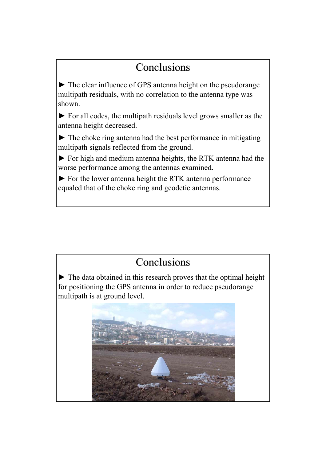## **Conclusions**

► The clear influence of GPS antenna height on the pseudorange multipath residuals, with no correlation to the antenna type was shown.

► For all codes, the multipath residuals level grows smaller as the antenna height decreased.

► The choke ring antenna had the best performance in mitigating multipath signals reflected from the ground.

► For high and medium antenna heights, the RTK antenna had the worse performance among the antennas examined.

► For the lower antenna height the RTK antenna performance equaled that of the choke ring and geodetic antennas.